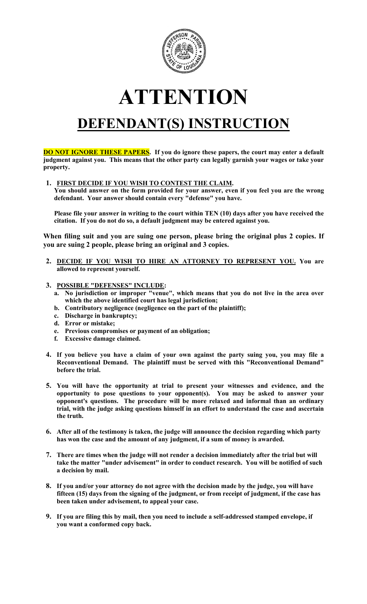

## **ATTENTION**

## **DEFENDANT(S) INSTRUCTION**

**DO NOT IGNORE THESE PAPERS**. If you do ignore these papers, the court may enter a default **judgment against you. This means that the other party can legally garnish your wages or take your property.**

**1. FIRST DECIDE IF YOU WISH TO CONTEST THE CLAIM.**

**You should answer on the form provided for your answer, even if you feel you are the wrong defendant. Your answer should contain every "defense" you have.**

**Please file your answer in writing to the court within TEN (10) days after you have received the citation. If you do not do so, a default judgment may be entered against you.** 

**When filing suit and you are suing one person, please bring the original plus 2 copies. If you are suing 2 people, please bring an original and 3 copies.**

- **2. DECIDE IF YOU WISH TO HIRE AN ATTORNEY TO REPRESENT YOU. You are allowed to represent yourself.**
- **3. POSSIBLE "DEFENSES" INCLUDE:**
	- **a. No jurisdiction or improper "venue", which means that you do not live in the area over which the above identified court has legal jurisdiction;**
	- **b. Contributory negligence (negligence on the part of the plaintiff);**
	- **c. Discharge in bankruptcy;**
	- **d. Error or mistake;**
	- **e. Previous compromises or payment of an obligation;**
	- **f. Excessive damage claimed.**
- **4. If you believe you have a claim of your own against the party suing you, you may file a Reconventional Demand. The plaintiff must be served with this "Reconventional Demand" before the trial.**
- **5. You will have the opportunity at trial to present your witnesses and evidence, and the opportunity to pose questions to your opponent(s). You may be asked to answer your opponent's questions. The procedure will be more relaxed and informal than an ordinary trial, with the judge asking questions himself in an effort to understand the case and ascertain the truth.**
- **6. After all of the testimony is taken, the judge will announce the decision regarding which party has won the case and the amount of any judgment, if a sum of money is awarded.**
- **7. There are times when the judge will not render a decision immediately after the trial but will take the matter "under advisement" in order to conduct research. You will be notified of such a decision by mail.**
- **8. If you and/or your attorney do not agree with the decision made by the judge, you will have fifteen (15) days from the signing of the judgment, or from receipt of judgment, if the case has been taken under advisement, to appeal your case.**
- **9. If you are filing this by mail, then you need to include a self-addressed stamped envelope, if you want a conformed copy back.**